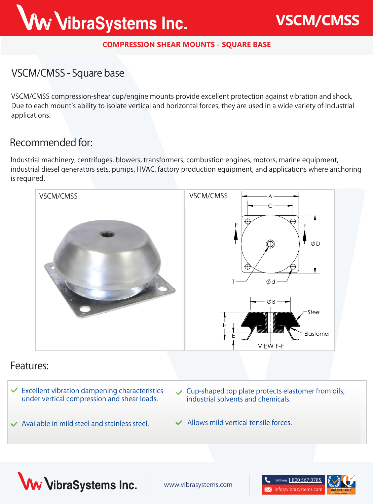# Ww VibraSystems Inc.

#### **COMPRESSION SHEAR MOUNTS - SQUARE BASE**

## **VSCM/CMSS - Square base**

**VSCM/CMSS** compression-shear cup/engine mounts provide excellent protection against vibration and shock. Due to each mount's ability to isolate vertical and horizontal forces, they are used in a wide variety of industrial applications.

## **Recommended for:**

Industrial machinery, centrifuges, blowers, transformers, combustion engines, motors, marine equipment, industrial diesel generators sets, pumps, HVAC, factory production equipment, and applications where anchoring is required.



### **Features:**

- **Excellent vibration dampening characteristics under vertical compression and shear loads. Available in mild steel and stainless steel. Cup-shaped top plate protects elastomer from oils, industrial solvents and chemicals.**
	- **Allows mild vertical tensile forces.**